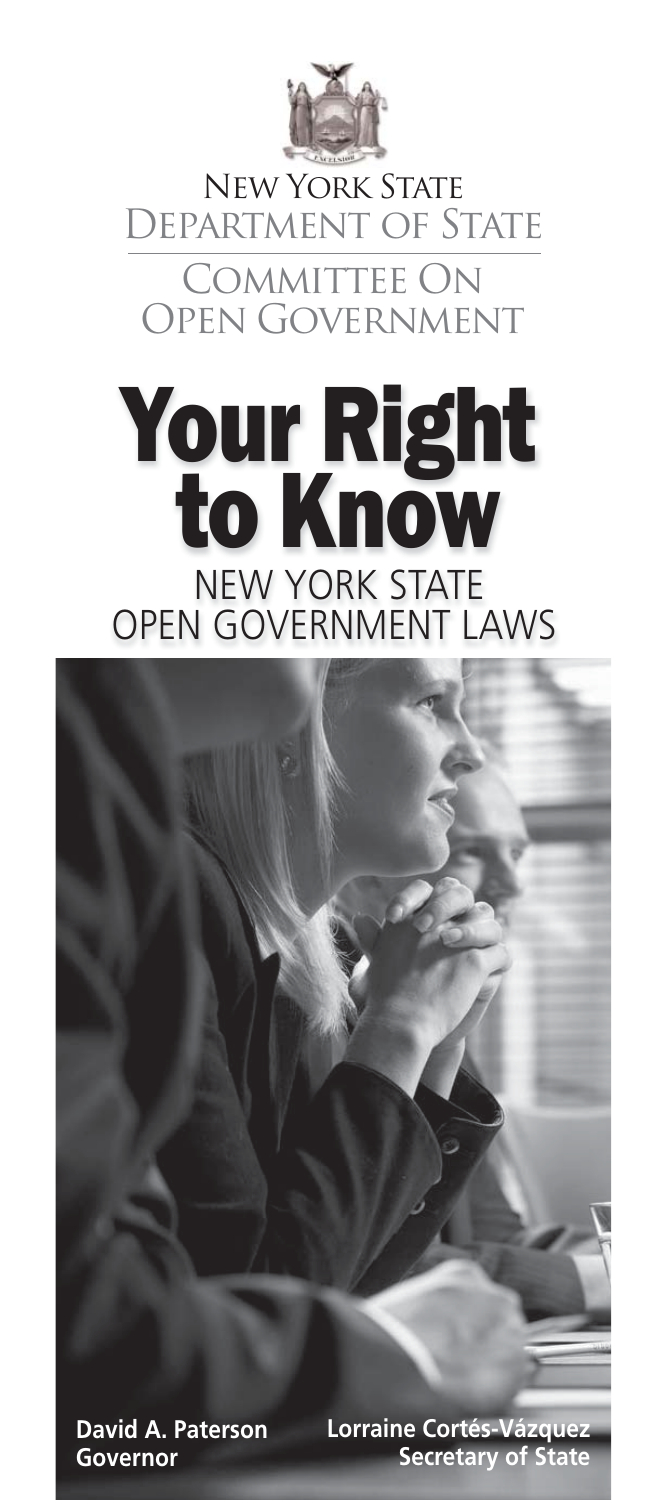

NEW YORK STATE DEPARTMENT OF STATE

COMMITTEE ON Open Government

# Your Right to Know NEW YORK STATE OPEN GOVERNMENT LAWS



**David A. Paterson Governor**

**Lorraine Cortés-Vázquez Secretary of State**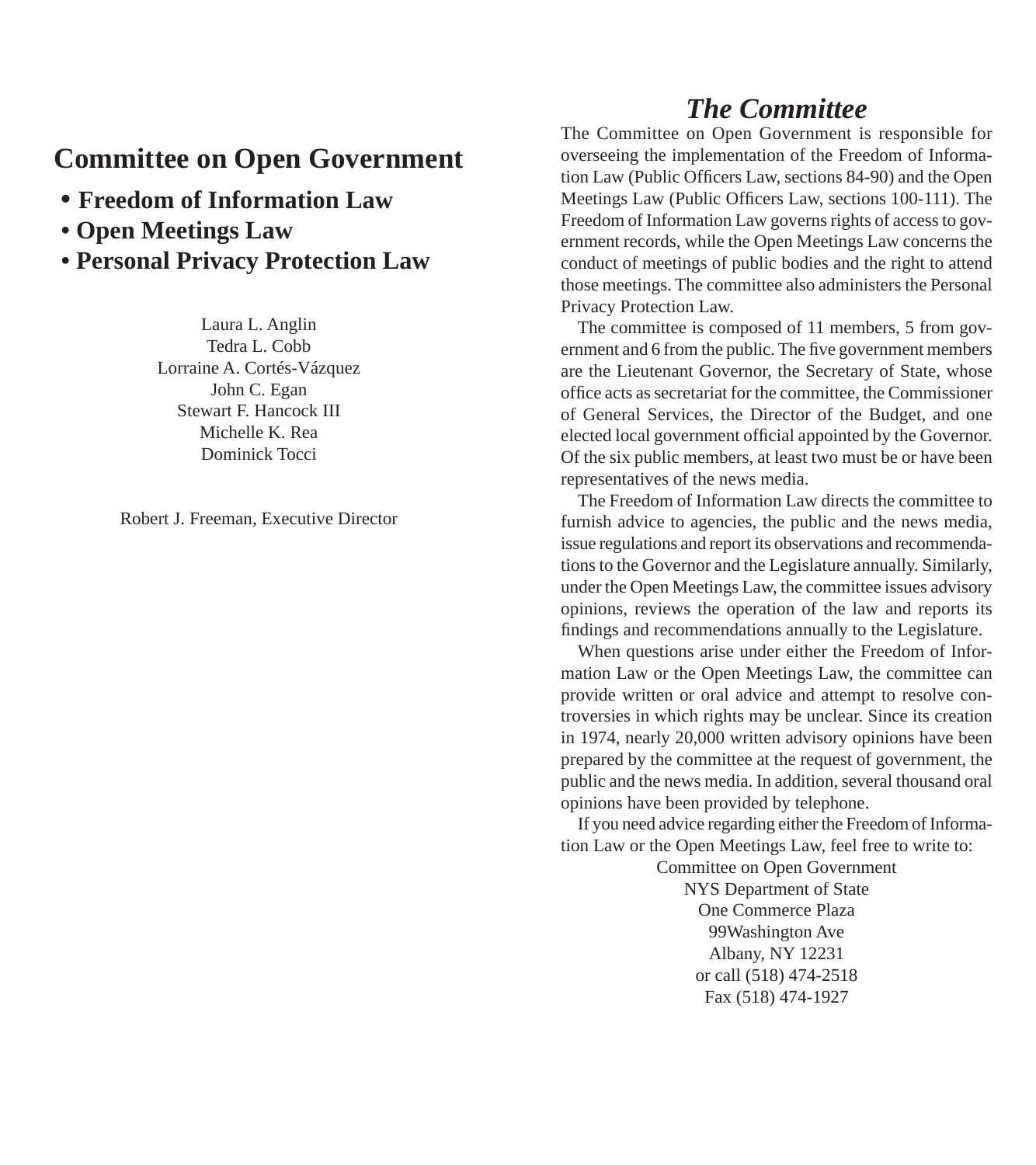## **Committee on Open Government**

- **Freedom of Information Law**
- **Open Meetings Law**
- **Personal Privacy Protection Law**

Laura L. Anglin Tedra L. Cobb Lorraine A. Cortés-Vázquez John C. Egan Stewart F. Hancock III Michelle K. Rea Dominick Tocci

Robert J. Freeman, Executive Director

## *The Committee*

The Committee on Open Government is responsible for overseeing the implementation of the Freedom of Information Law (Public Officers Law, sections 84-90) and the Open Meetings Law (Public Officers Law, sections 100-111). The Freedom of Information Law governs rights of access to government records, while the Open Meetings Law concerns the conduct of meetings of public bodies and the right to attend those meetings. The committee also administers the Personal Privacy Protection Law.

 The committee is composed of 11 members, 5 from government and 6 from the public. The five government members are the Lieutenant Governor, the Secretary of State, whose office acts as secretariat for the committee, the Commissioner of General Services, the Director of the Budget, and one elected local government official appointed by the Governor. Of the six public members, at least two must be or have been representatives of the news media.

 The Freedom of Information Law directs the committee to furnish advice to agencies, the public and the news media, issue regulations and report its observations and recommendations to the Governor and the Legislature annually. Similarly, under the Open Meetings Law, the committee issues advisory opinions, reviews the operation of the law and reports its findings and recommendations annually to the Legislature.

 When questions arise under either the Freedom of Information Law or the Open Meetings Law, the committee can provide written or oral advice and attempt to resolve controversies in which rights may be unclear. Since its creation in 1974, nearly 20,000 written advisory opinions have been prepared by the committee at the request of government, the public and the news media. In addition, several thousand oral opinions have been provided by telephone.

 If you need advice regarding either the Freedom of Information Law or the Open Meetings Law, feel free to write to: Committee on Open Government

NYS Department of State One Commerce Plaza 99Washington Ave Albany, NY 12231 or call (518) 474-2518 Fax (518) 474-1927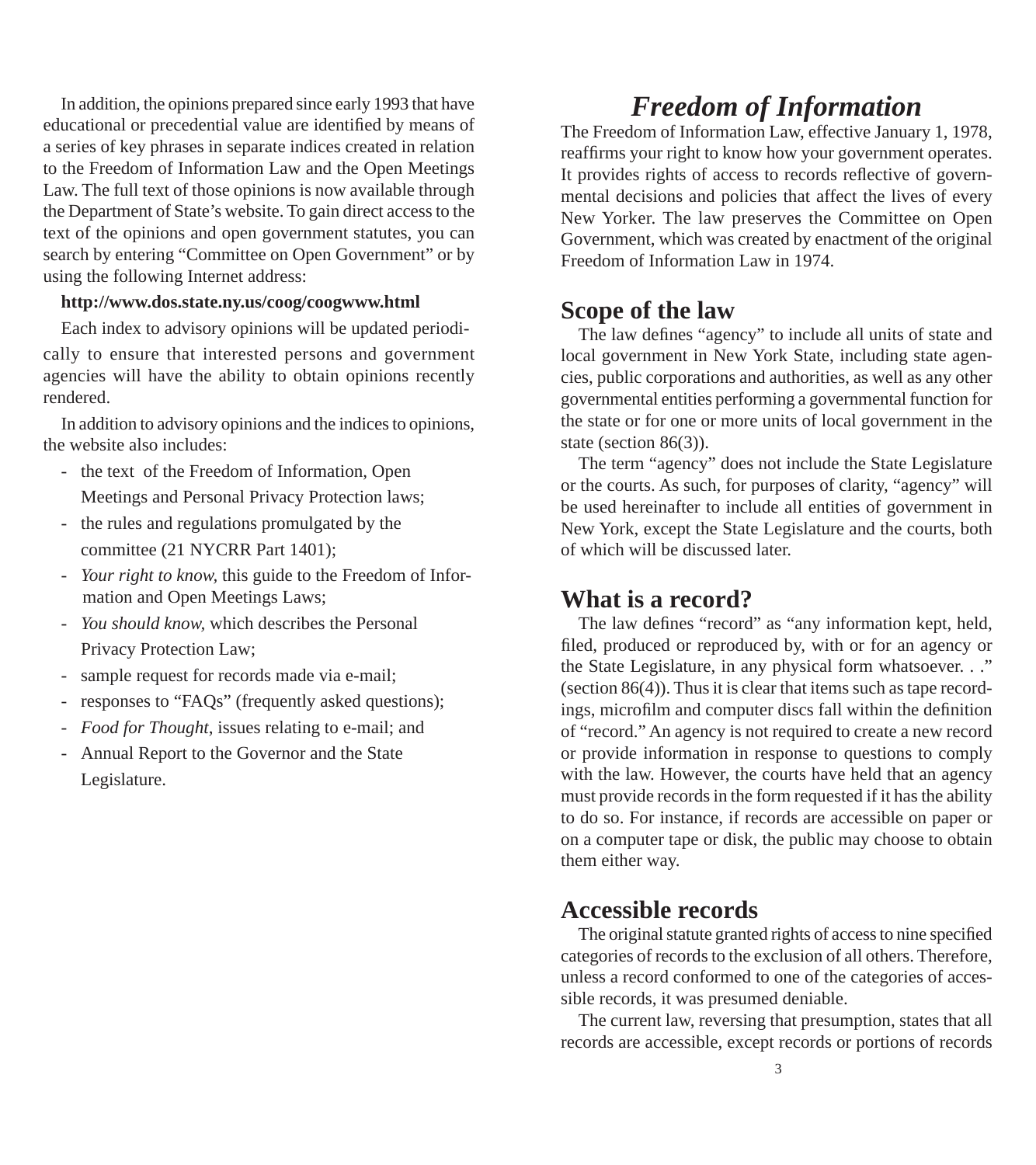In addition, the opinions prepared since early 1993 that have educational or precedential value are identified by means of a series of key phrases in separate indices created in relation to the Freedom of Information Law and the Open Meetings Law. The full text of those opinions is now available through the Department of State's website. To gain direct access to the text of the opinions and open government statutes, you can search by entering "Committee on Open Government" or by using the following Internet address:

#### **http://www.dos.state.ny.us/coog/coogwww.html**

Each index to advisory opinions will be updated periodi-

cally to ensure that interested persons and government agencies will have the ability to obtain opinions recently rendered.

In addition to advisory opinions and the indices to opinions, the website also includes:

- the text of the Freedom of Information, Open Meetings and Personal Privacy Protection laws;
- the rules and regulations promulgated by the committee (21 NYCRR Part 1401);
- - *Your right to know,* this guide to the Freedom of Infor mation and Open Meetings Laws;
- *You should know,* which describes the Personal Privacy Protection Law;
- sample request for records made via e-mail;
- responses to "FAQs" (frequently asked questions);
- *Food for Thought*, issues relating to e-mail; and
- Annual Report to the Governor and the State Legislature.

# *Freedom of Information*

The Freedom of Information Law, effective January 1, 1978, reaffirms your right to know how your government operates. It provides rights of access to records reflective of governmental decisions and policies that affect the lives of every New Yorker. The law preserves the Committee on Open Government, which was created by enactment of the original Freedom of Information Law in 1974.

#### **Scope of the law**

The law defines "agency" to include all units of state and local government in New York State, including state agencies, public corporations and authorities, as well as any other governmental entities performing a governmental function for the state or for one or more units of local government in the state (section 86(3)).

 The term "agency" does not include the State Legislature or the courts. As such, for purposes of clarity, "agency" will be used hereinafter to include all entities of government in New York, except the State Legislature and the courts, both of which will be discussed later.

#### **What is a record?**

The law defines "record" as "any information kept, held, filed, produced or reproduced by, with or for an agency or the State Legislature, in any physical form whatsoever. . ." (section 86(4)). Thus it is clear that items such as tape recordings, microfilm and computer discs fall within the definition of "record." An agency is not required to create a new record or provide information in response to questions to comply with the law. However, the courts have held that an agency must provide records in the form requested if it has the ability to do so. For instance, if records are accessible on paper or on a computer tape or disk, the public may choose to obtain them either way.

#### **Accessible records**

The original statute granted rights of access to nine specified categories of records to the exclusion of all others. Therefore, unless a record conformed to one of the categories of accessible records, it was presumed deniable.

 The current law, reversing that presumption, states that all records are accessible, except records or portions of records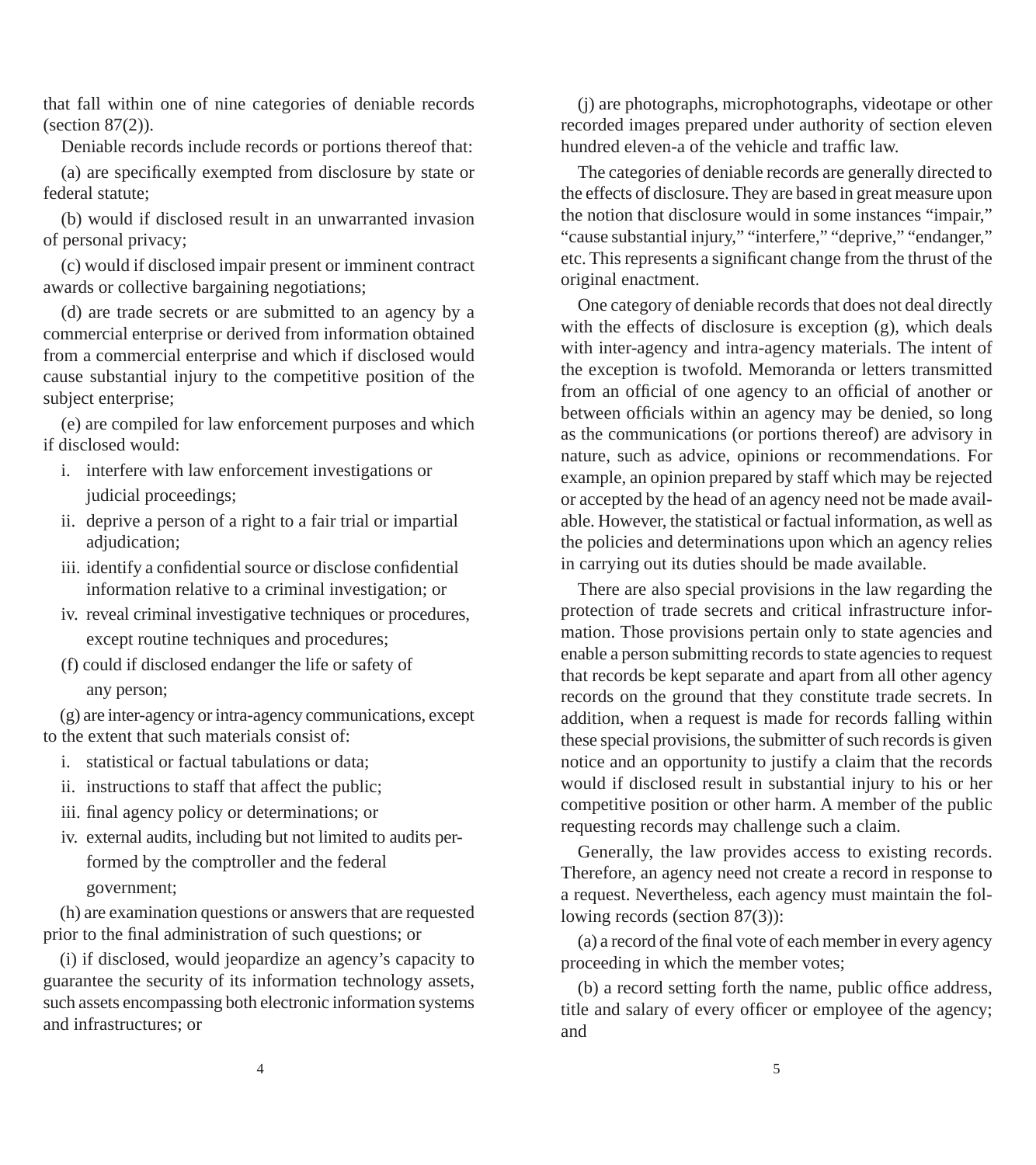that fall within one of nine categories of deniable records (section 87(2)).

Deniable records include records or portions thereof that:

(a) are specifically exempted from disclosure by state or federal statute;

 (b) would if disclosed result in an unwarranted invasion of personal privacy;

 (c) would if disclosed impair present or imminent contract awards or collective bargaining negotiations;

 (d) are trade secrets or are submitted to an agency by a commercial enterprise or derived from information obtained from a commercial enterprise and which if disclosed would cause substantial injury to the competitive position of the subject enterprise;

 (e) are compiled for law enforcement purposes and which if disclosed would:

- i. interfere with law enforcement investigations or judicial proceedings;
- ii. deprive a person of a right to a fair trial or impartial adjudication;
- iii. identify a confidential source or disclose confidential information relative to a criminal investigation; or
- iv. reveal criminal investigative techniques or procedures, except routine techniques and procedures;
- (f) could if disclosed endanger the life or safety of any person;

 (g) are inter-agency or intra-agency communications, except to the extent that such materials consist of:

- i. statistical or factual tabulations or data;
- ii. instructions to staff that affect the public;
- iii. final agency policy or determinations; or
- iv. external audits, including but not limited to audits per formed by the comptroller and the federal government;

(h) are examination questions or answers that are requested prior to the final administration of such questions; or

 (i) if disclosed, would jeopardize an agency's capacity to guarantee the security of its information technology assets, such assets encompassing both electronic information systems and infrastructures; or

 (j) are photographs, microphotographs, videotape or other recorded images prepared under authority of section eleven hundred eleven-a of the vehicle and traffic law.

 The categories of deniable records are generally directed to the effects of disclosure. They are based in great measure upon the notion that disclosure would in some instances "impair," "cause substantial injury," "interfere," "deprive," "endanger," etc. This represents a significant change from the thrust of the original enactment.

 One category of deniable records that does not deal directly with the effects of disclosure is exception (g), which deals with inter-agency and intra-agency materials. The intent of the exception is twofold. Memoranda or letters transmitted from an official of one agency to an official of another or between officials within an agency may be denied, so long as the communications (or portions thereof) are advisory in nature, such as advice, opinions or recommendations. For example, an opinion prepared by staff which may be rejected or accepted by the head of an agency need not be made available. However, the statistical or factual information, as well as the policies and determinations upon which an agency relies in carrying out its duties should be made available.

 There are also special provisions in the law regarding the protection of trade secrets and critical infrastructure information. Those provisions pertain only to state agencies and enable a person submitting records to state agencies to request that records be kept separate and apart from all other agency records on the ground that they constitute trade secrets. In addition, when a request is made for records falling within these special provisions, the submitter of such records is given notice and an opportunity to justify a claim that the records would if disclosed result in substantial injury to his or her competitive position or other harm. A member of the public requesting records may challenge such a claim.

 Generally, the law provides access to existing records. Therefore, an agency need not create a record in response to a request. Nevertheless, each agency must maintain the following records (section 87(3)):

(a) a record of the final vote of each member in every agency proceeding in which the member votes;

(b) a record setting forth the name, public office address, title and salary of every officer or employee of the agency; and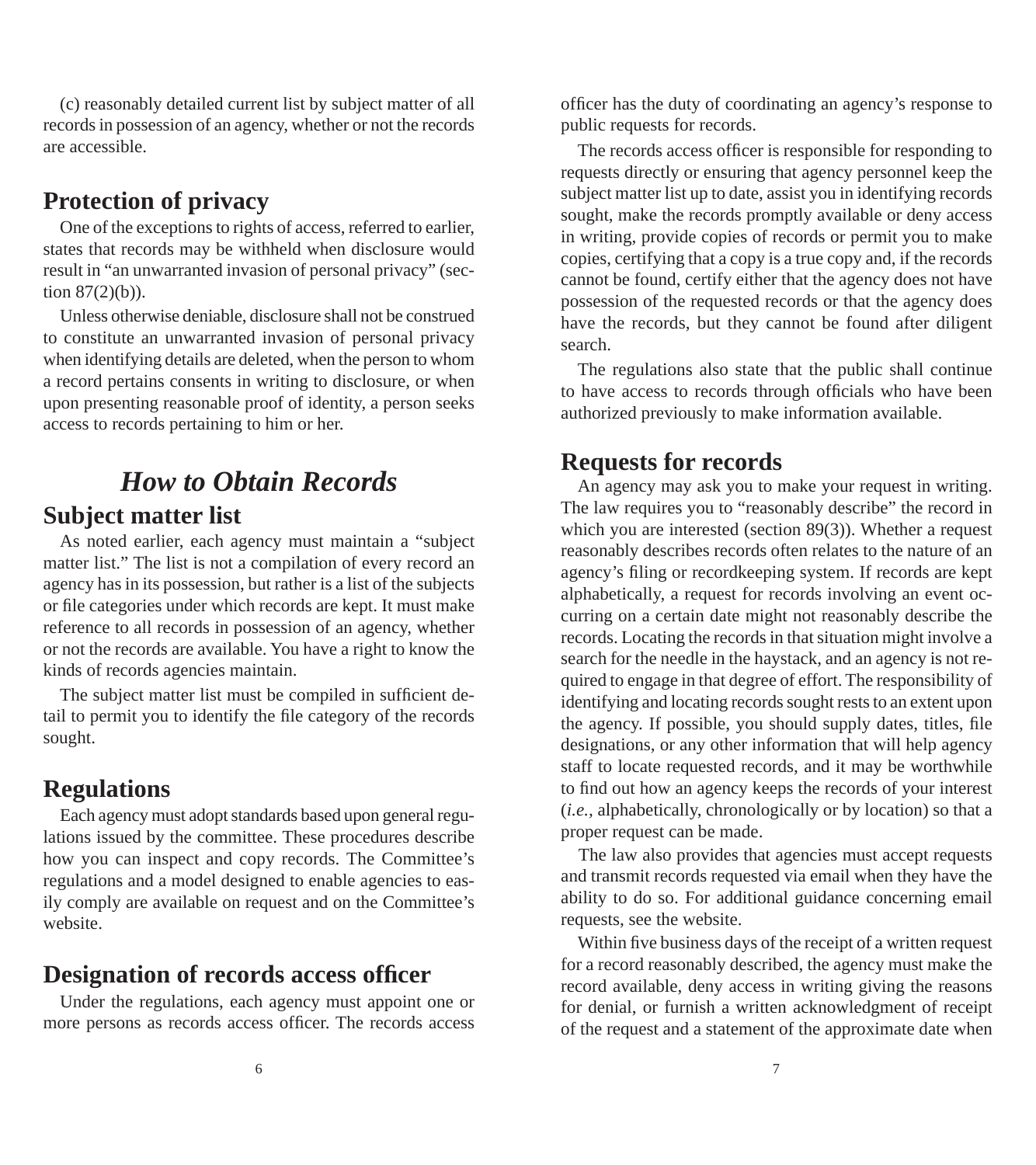(c) reasonably detailed current list by subject matter of all records in possession of an agency, whether or not the records are accessible.

## **Protection of privacy**

 One of the exceptions to rights of access, referred to earlier, states that records may be withheld when disclosure would result in "an unwarranted invasion of personal privacy" (section 87(2)(b)).

 Unless otherwise deniable, disclosure shall not be construed to constitute an unwarranted invasion of personal privacy when identifying details are deleted, when the person to whom a record pertains consents in writing to disclosure, or when upon presenting reasonable proof of identity, a person seeks access to records pertaining to him or her.

## *How to Obtain Records* **Subject matter list**

 As noted earlier, each agency must maintain a "subject matter list." The list is not a compilation of every record an agency has in its possession, but rather is a list of the subjects or file categories under which records are kept. It must make reference to all records in possession of an agency, whether or not the records are available. You have a right to know the kinds of records agencies maintain.

The subject matter list must be compiled in sufficient detail to permit you to identify the file category of the records sought.

## **Regulations**

 Each agency must adopt standards based upon general regulations issued by the committee. These procedures describe how you can inspect and copy records. The Committee's regulations and a model designed to enable agencies to easily comply are available on request and on the Committee's website.

## **Designation of records access offi cer**

 Under the regulations, each agency must appoint one or more persons as records access officer. The records access officer has the duty of coordinating an agency's response to public requests for records.

The records access officer is responsible for responding to requests directly or ensuring that agency personnel keep the subject matter list up to date, assist you in identifying records sought, make the records promptly available or deny access in writing, provide copies of records or permit you to make copies, certifying that a copy is a true copy and, if the records cannot be found, certify either that the agency does not have possession of the requested records or that the agency does have the records, but they cannot be found after diligent search.

 The regulations also state that the public shall continue to have access to records through officials who have been authorized previously to make information available.

## **Requests for records**

 An agency may ask you to make your request in writing. The law requires you to "reasonably describe" the record in which you are interested (section 89(3)). Whether a request reasonably describes records often relates to the nature of an agency's filing or recordkeeping system. If records are kept alphabetically, a request for records involving an event occurring on a certain date might not reasonably describe the records. Locating the records in that situation might involve a search for the needle in the haystack, and an agency is not required to engage in that degree of effort. The responsibility of identifying and locating records sought rests to an extent upon the agency. If possible, you should supply dates, titles, file designations, or any other information that will help agency staff to locate requested records, and it may be worthwhile to find out how an agency keeps the records of your interest (*i.e.,* alphabetically, chronologically or by location) so that a proper request can be made.

 The law also provides that agencies must accept requests and transmit records requested via email when they have the ability to do so. For additional guidance concerning email requests, see the website.

Within five business days of the receipt of a written request for a record reasonably described, the agency must make the record available, deny access in writing giving the reasons for denial, or furnish a written acknowledgment of receipt of the request and a statement of the approximate date when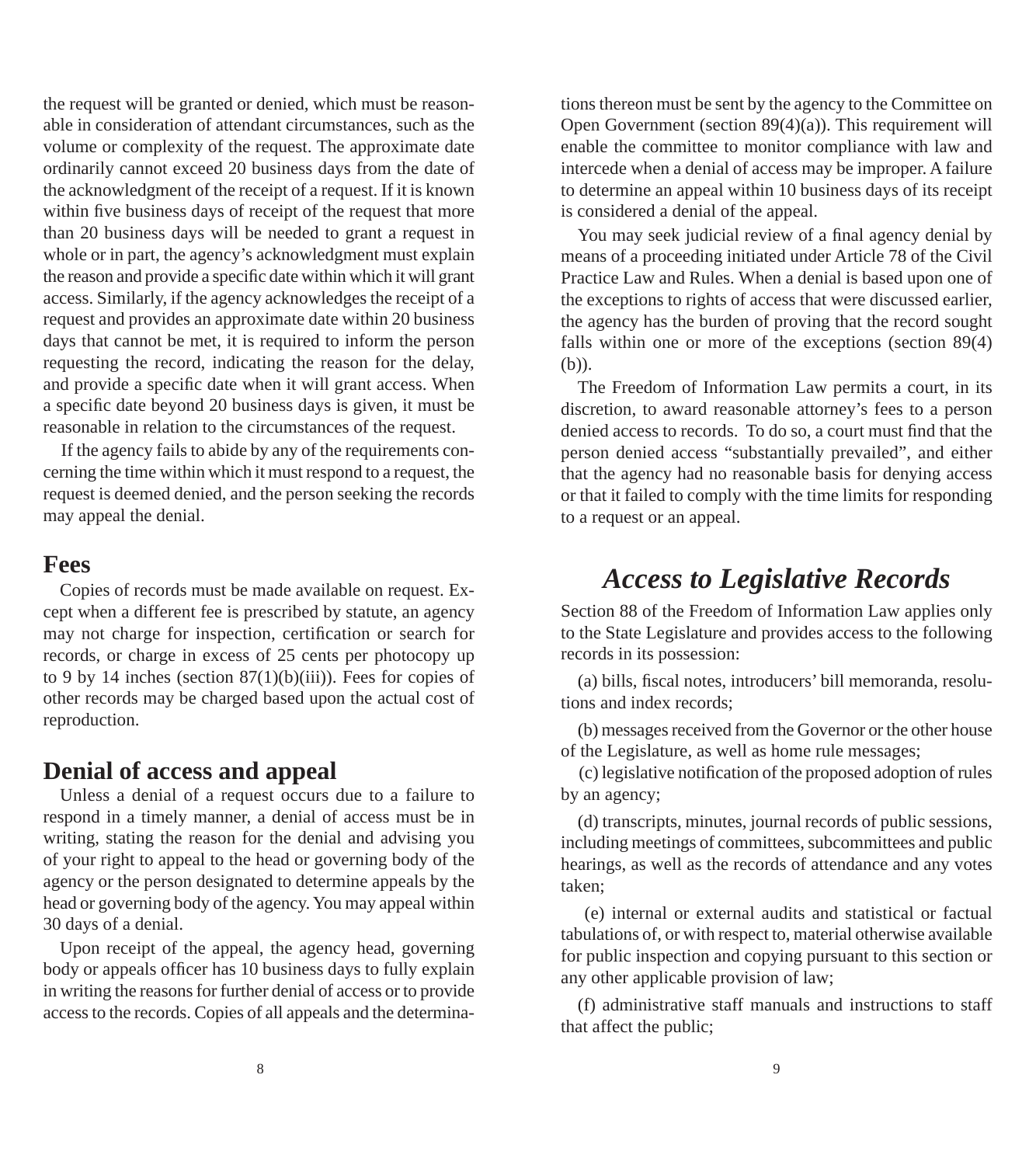the request will be granted or denied, which must be reasonable in consideration of attendant circumstances, such as the volume or complexity of the request. The approximate date ordinarily cannot exceed 20 business days from the date of the acknowledgment of the receipt of a request. If it is known within five business days of receipt of the request that more than 20 business days will be needed to grant a request in whole or in part, the agency's acknowledgment must explain the reason and provide a specific date within which it will grant access. Similarly, if the agency acknowledges the receipt of a request and provides an approximate date within 20 business days that cannot be met, it is required to inform the person requesting the record, indicating the reason for the delay, and provide a specific date when it will grant access. When a specific date beyond 20 business days is given, it must be reasonable in relation to the circumstances of the request.

 If the agency fails to abide by any of the requirements concerning the time within which it must respond to a request, the request is deemed denied, and the person seeking the records may appeal the denial.

## **Fees**

 Copies of records must be made available on request. Except when a different fee is prescribed by statute, an agency may not charge for inspection, certification or search for records, or charge in excess of 25 cents per photocopy up to 9 by 14 inches (section  $87(1)(b)(iii)$ ). Fees for copies of other records may be charged based upon the actual cost of reproduction.

## **Denial of access and appeal**

 Unless a denial of a request occurs due to a failure to respond in a timely manner, a denial of access must be in writing, stating the reason for the denial and advising you of your right to appeal to the head or governing body of the agency or the person designated to determine appeals by the head or governing body of the agency. You may appeal within 30 days of a denial.

 Upon receipt of the appeal, the agency head, governing body or appeals officer has 10 business days to fully explain in writing the reasons for further denial of access or to provide access to the records. Copies of all appeals and the determina-

tions thereon must be sent by the agency to the Committee on Open Government (section 89(4)(a)). This requirement will enable the committee to monitor compliance with law and intercede when a denial of access may be improper. A failure to determine an appeal within 10 business days of its receipt is considered a denial of the appeal.

You may seek judicial review of a final agency denial by means of a proceeding initiated under Article 78 of the Civil Practice Law and Rules. When a denial is based upon one of the exceptions to rights of access that were discussed earlier, the agency has the burden of proving that the record sought falls within one or more of the exceptions (section 89(4) (b)).

 The Freedom of Information Law permits a court, in its discretion, to award reasonable attorney's fees to a person denied access to records. To do so, a court must find that the person denied access "substantially prevailed", and either that the agency had no reasonable basis for denying access or that it failed to comply with the time limits for responding to a request or an appeal.

## *Access to Legislative Records*

Section 88 of the Freedom of Information Law applies only to the State Legislature and provides access to the following records in its possession:

(a) bills, fiscal notes, introducers' bill memoranda, resolutions and index records;

 (b) messages received from the Governor or the other house of the Legislature, as well as home rule messages;

(c) legislative notification of the proposed adoption of rules by an agency;

 (d) transcripts, minutes, journal records of public sessions, including meetings of committees, subcommittees and public hearings, as well as the records of attendance and any votes taken;

 (e) internal or external audits and statistical or factual tabulations of, or with respect to, material otherwise available for public inspection and copying pursuant to this section or any other applicable provision of law;

 (f) administrative staff manuals and instructions to staff that affect the public;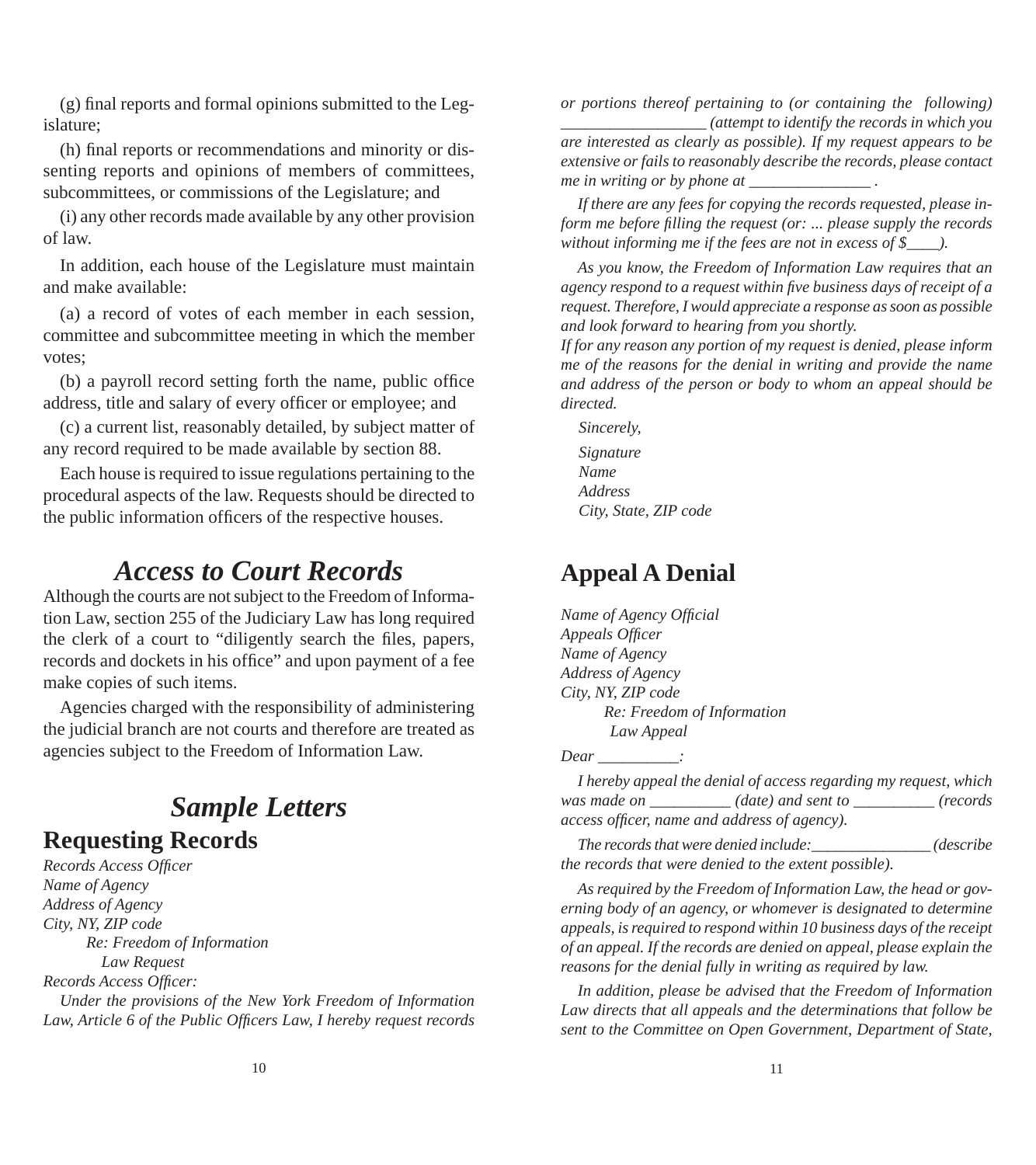$(g)$  final reports and formal opinions submitted to the Legislature;

(h) final reports or recommendations and minority or dissenting reports and opinions of members of committees, subcommittees, or commissions of the Legislature; and

 (i) any other records made available by any other provision of law.

 In addition, each house of the Legislature must maintain and make available:

 (a) a record of votes of each member in each session, committee and subcommittee meeting in which the member votes;

 $(b)$  a payroll record setting forth the name, public office address, title and salary of every officer or employee; and

 (c) a current list, reasonably detailed, by subject matter of any record required to be made available by section 88.

 Each house is required to issue regulations pertaining to the procedural aspects of the law. Requests should be directed to the public information officers of the respective houses.

## *Access to Court Records*

Although the courts are not subject to the Freedom of Information Law, section 255 of the Judiciary Law has long required the clerk of a court to "diligently search the files, papers, records and dockets in his office" and upon payment of a fee make copies of such items.

 Agencies charged with the responsibility of administering the judicial branch are not courts and therefore are treated as agencies subject to the Freedom of Information Law.

# *Sample Letters*

## **Requesting Records**

*Records Access Offi cer Name of Agency Address of Agency City, NY, ZIP code Re: Freedom of Information Law Request*  $Records Access$  *Officer: Under the provisions of the New York Freedom of Information*  Law, Article 6 of the Public Officers Law, I hereby request records *or portions thereof pertaining to (or containing the following) \_\_\_\_\_\_\_\_\_\_\_\_\_\_\_\_\_\_ (attempt to identify the records in which you* 

*are interested as clearly as possible). If my request appears to be extensive or fails to reasonably describe the records, please contact me in writing or by phone at* 

 *If there are any fees for copying the records requested, please inform me before filling the request (or: ... please supply the records without informing me if the fees are not in excess of \$\_\_\_\_).*

 *As you know, the Freedom of Information Law requires that an agency respond to a request within fi ve business days of receipt of a request. Therefore, I would appreciate a response as soon as possible and look forward to hearing from you shortly.* 

*If for any reason any portion of my request is denied, please inform me of the reasons for the denial in writing and provide the name and address of the person or body to whom an appeal should be directed.*

 *Sincerely,*

 *Signature Name Address City, State, ZIP code*

## **Appeal A Denial**

*Name of Agency Official Appeals Offi cer Name of Agency Address of Agency City, NY, ZIP code Re: Freedom of Information Law Appeal*

*Dear \_\_\_\_\_\_\_\_\_\_:*

 *I hereby appeal the denial of access regarding my request, which was made on \_\_\_\_\_\_\_\_\_\_ (date) and sent to \_\_\_\_\_\_\_\_\_\_ (records access offi cer, name and address of agency).* 

 *The records that were denied include:\_\_\_\_\_\_\_\_\_\_\_\_\_\_\_ (describe the records that were denied to the extent possible).* 

 *As required by the Freedom of Information Law, the head or governing body of an agency, or whomever is designated to determine appeals, is required to respond within 10 business days of the receipt of an appeal. If the records are denied on appeal, please explain the reasons for the denial fully in writing as required by law.* 

 *In addition, please be advised that the Freedom of Information Law directs that all appeals and the determinations that follow be sent to the Committee on Open Government, Department of State,*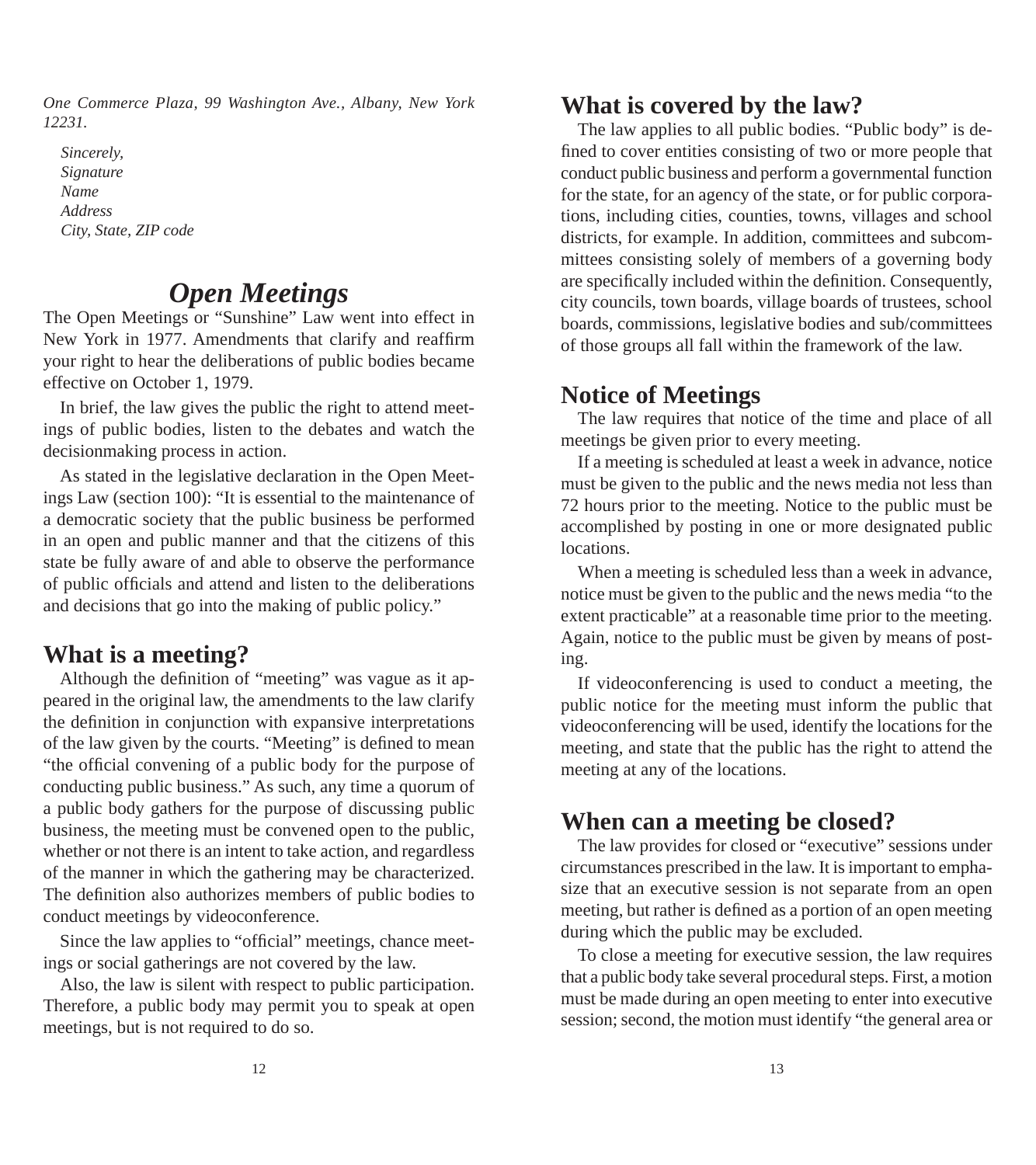*One Commerce Plaza, 99 Washington Ave., Albany, New York 12231.*

 *Sincerely, Signature Name Address City, State, ZIP code*

## *Open Meetings*

The Open Meetings or "Sunshine" Law went into effect in New York in 1977. Amendments that clarify and reaffirm your right to hear the deliberations of public bodies became effective on October 1, 1979.

 In brief, the law gives the public the right to attend meetings of public bodies, listen to the debates and watch the decisionmaking process in action.

 As stated in the legislative declaration in the Open Meetings Law (section 100): "It is essential to the maintenance of a democratic society that the public business be performed in an open and public manner and that the citizens of this state be fully aware of and able to observe the performance of public officials and attend and listen to the deliberations and decisions that go into the making of public policy."

## **What is a meeting?**

Although the definition of "meeting" was vague as it appeared in the original law, the amendments to the law clarify the definition in conjunction with expansive interpretations of the law given by the courts. "Meeting" is defined to mean "the official convening of a public body for the purpose of conducting public business." As such, any time a quorum of a public body gathers for the purpose of discussing public business, the meeting must be convened open to the public, whether or not there is an intent to take action, and regardless of the manner in which the gathering may be characterized. The definition also authorizes members of public bodies to conduct meetings by videoconference.

Since the law applies to "official" meetings, chance meetings or social gatherings are not covered by the law.

 Also, the law is silent with respect to public participation. Therefore, a public body may permit you to speak at open meetings, but is not required to do so.

## **What is covered by the law?**

 The law applies to all public bodies. "Public body" is defined to cover entities consisting of two or more people that conduct public business and perform a governmental function for the state, for an agency of the state, or for public corporations, including cities, counties, towns, villages and school districts, for example. In addition, committees and subcommittees consisting solely of members of a governing body are specifically included within the definition. Consequently, city councils, town boards, village boards of trustees, school boards, commissions, legislative bodies and sub/committees of those groups all fall within the framework of the law.

## **Notice of Meetings**

 The law requires that notice of the time and place of all meetings be given prior to every meeting.

 If a meeting is scheduled at least a week in advance, notice must be given to the public and the news media not less than 72 hours prior to the meeting. Notice to the public must be accomplished by posting in one or more designated public locations.

 When a meeting is scheduled less than a week in advance, notice must be given to the public and the news media "to the extent practicable" at a reasonable time prior to the meeting. Again, notice to the public must be given by means of posting.

 If videoconferencing is used to conduct a meeting, the public notice for the meeting must inform the public that videoconferencing will be used, identify the locations for the meeting, and state that the public has the right to attend the meeting at any of the locations.

## **When can a meeting be closed?**

 The law provides for closed or "executive" sessions under circumstances prescribed in the law. It is important to emphasize that an executive session is not separate from an open meeting, but rather is defined as a portion of an open meeting during which the public may be excluded.

 To close a meeting for executive session, the law requires that a public body take several procedural steps. First, a motion must be made during an open meeting to enter into executive session; second, the motion must identify "the general area or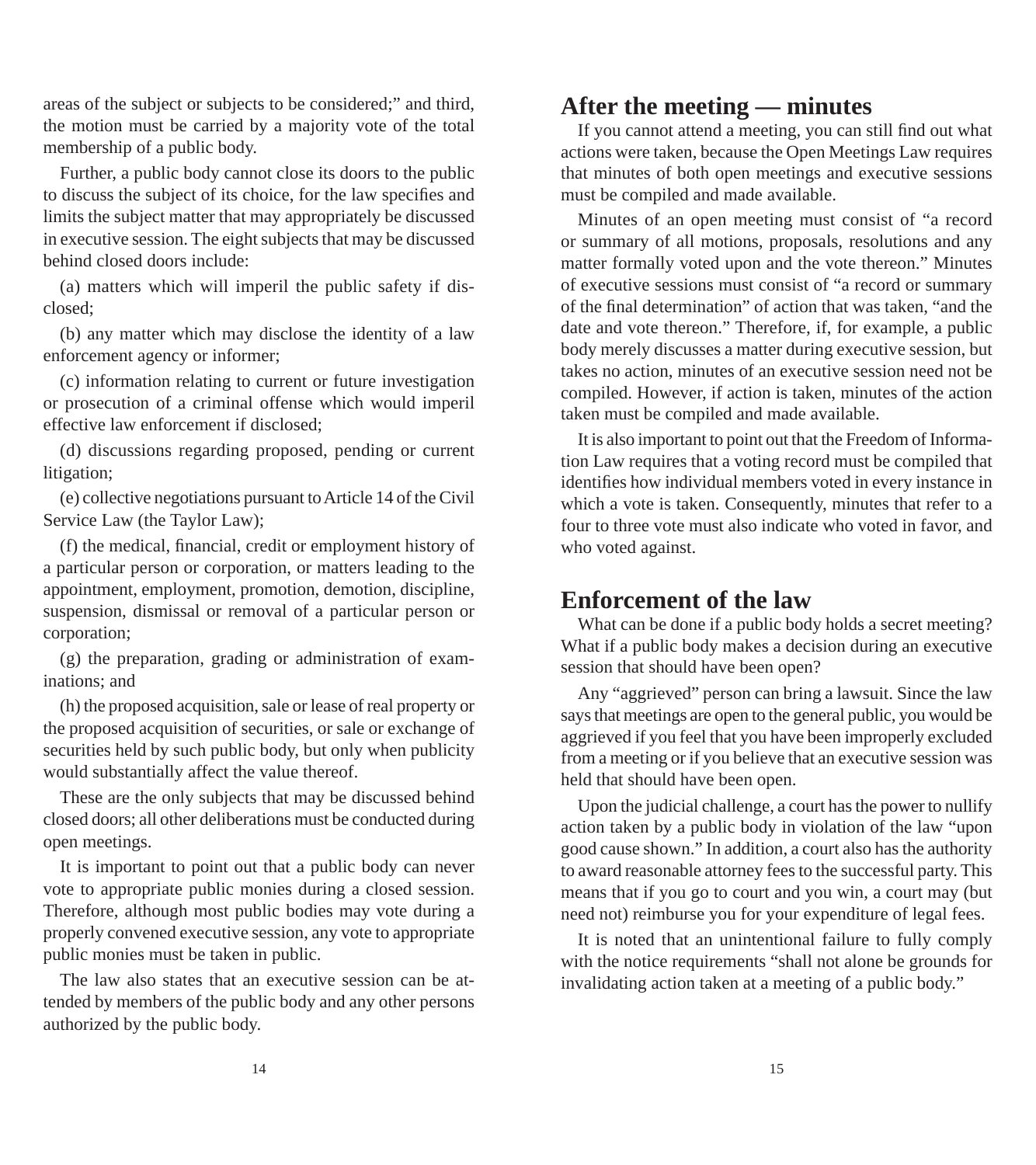areas of the subject or subjects to be considered;" and third, the motion must be carried by a majority vote of the total membership of a public body.

Further, a public body cannot close its doors to the public to discuss the subject of its choice, for the law specifies and limits the subject matter that may appropriately be discussed in executive session. The eight subjects that may be discussed behind closed doors include:

 (a) matters which will imperil the public safety if disclosed;

 (b) any matter which may disclose the identity of a law enforcement agency or informer;

 (c) information relating to current or future investigation or prosecution of a criminal offense which would imperil effective law enforcement if disclosed;

 (d) discussions regarding proposed, pending or current litigation;

 (e) collective negotiations pursuant to Article 14 of the Civil Service Law (the Taylor Law);

(f) the medical, financial, credit or employment history of a particular person or corporation, or matters leading to the appointment, employment, promotion, demotion, discipline, suspension, dismissal or removal of a particular person or corporation;

 (g) the preparation, grading or administration of examinations; and

 (h) the proposed acquisition, sale or lease of real property or the proposed acquisition of securities, or sale or ex change of securities held by such public body, but only when publicity would substantially affect the value thereof.

These are the only subjects that may be discussed behind closed doors; all other deliberations must be conducted during open meetings.

 It is important to point out that a public body can never vote to appropriate public monies during a closed session. Therefore, although most public bodies may vote during a properly convened executive session, any vote to appropriate public monies must be taken in public.

 The law also states that an executive session can be attended by members of the public body and any other persons authorized by the public body.

## **After the meeting — minutes**

If you cannot attend a meeting, you can still find out what actions were taken, because the Open Meetings Law requires that minutes of both open meetings and executive sessions must be compiled and made available.

 Minutes of an open meeting must consist of "a record or summary of all motions, proposals, resolutions and any matter formally voted upon and the vote thereon." Minutes of executive sessions must consist of "a record or summary of the final determination" of action that was taken, "and the date and vote thereon." Therefore, if, for example, a public body merely discusses a matter during executive session, but takes no action, minutes of an executive session need not be compiled. However, if action is taken, minutes of the action taken must be compiled and made available.

 It is also important to point out that the Freedom of Information Law requires that a voting record must be compiled that identifies how individual members voted in every instance in which a vote is taken. Consequently, minutes that refer to a four to three vote must also indicate who voted in favor, and who voted against.

## **Enforcement of the law**

 What can be done if a public body holds a secret meeting? What if a public body makes a decision during an executive session that should have been open?

 Any "aggrieved" person can bring a lawsuit. Since the law says that meetings are open to the general public, you would be aggrieved if you feel that you have been improperly excluded from a meeting or if you believe that an executive session was held that should have been open.

 Upon the judicial challenge, a court has the power to nullify action taken by a public body in violation of the law "upon good cause shown." In addition, a court also has the authority to award reasonable attorney fees to the successful party. This means that if you go to court and you win, a court may (but need not) reimburse you for your expenditure of legal fees.

 It is noted that an unintentional failure to fully comply with the notice requirements "shall not alone be grounds for invalidating action taken at a meeting of a public body."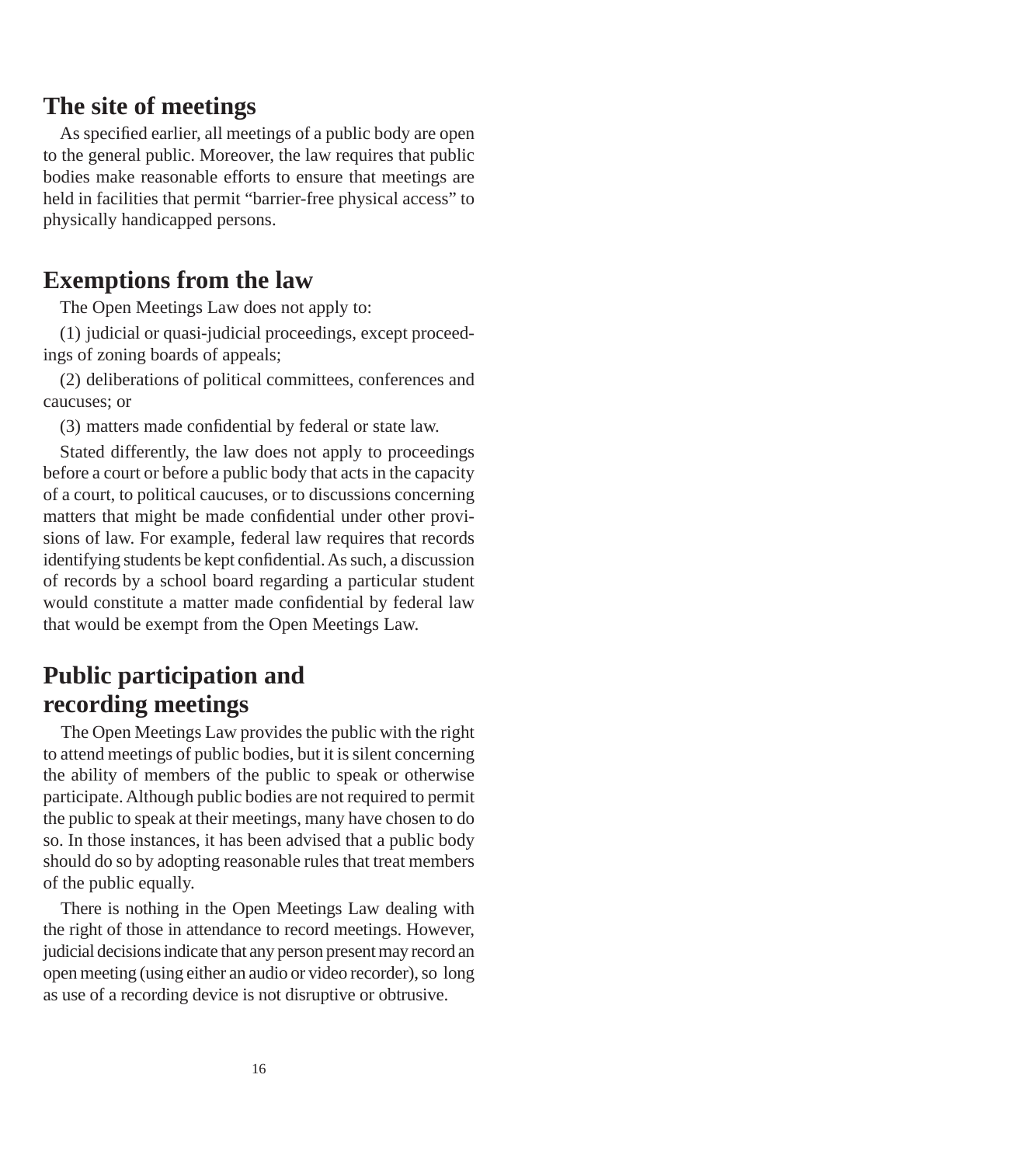#### **The site of meetings**

As specified earlier, all meetings of a public body are open to the general public. Moreover, the law requires that public bodies make reasonable efforts to ensure that meetings are held in facilities that permit "barrier-free physical access" to physically handicapped persons.

#### **Exemptions from the law**

The Open Meetings Law does not apply to:

 (1) judicial or quasi-judicial proceedings, except proceedings of zoning boards of appeals;

 (2) deliberations of political committees, conferences and caucuses; or

(3) matters made confidential by federal or state law.

 Stated differently, the law does not apply to proceedings before a court or before a public body that acts in the capacity of a court, to political caucuses, or to discussions concerning matters that might be made confidential under other provisions of law. For example, federal law requires that records identifying students be kept confidential. As such, a discussion of records by a school board regarding a particular student would constitute a matter made confidential by federal law that would be exempt from the Open Meetings Law.

## **Public participation and recording meetings**

 The Open Meetings Law provides the public with the right to attend meetings of public bodies, but it is silent concerning the ability of members of the public to speak or otherwise participate. Although public bodies are not required to permit the public to speak at their meetings, many have chosen to do so. In those instances, it has been advised that a public body should do so by adopting reasonable rules that treat members of the public equally.

 There is nothing in the Open Meetings Law dealing with the right of those in attendance to record meetings. However, judicial decisions indicate that any person present may record an open meeting (using either an audio or video recorder), so long as use of a recording device is not disruptive or obtrusive.